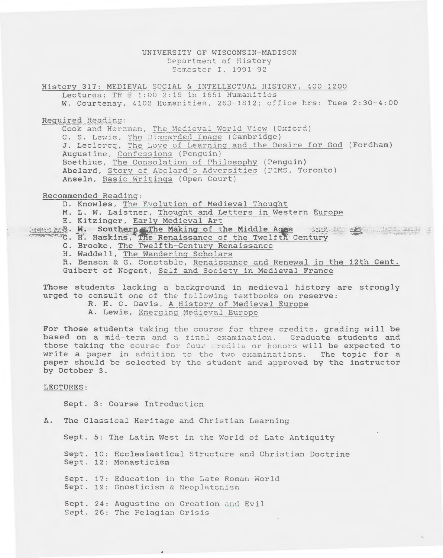## UNIVERSITY OF WISCONSIN-MADISON Department of History Semester I, 1991-92

History 317: MEDIEVAL SOCIAL & INTELLECTUAL HISTORY, 400-1200 Lectures: TR @ 1:00 2:15 in 1651 Humanities W. Courtenay, 4102 Humanities, 263-1812; office hrs: Tues 2:30-4:00

Required Reading:

Cook and Herzman, The Medieval World View (Oxford) C. S. Lewis, The Discarded Image (Cambridge) J. Leclercq, The Love of Learning and the Desire for God (Fordham) Augustine, Confessions (Penguin) Boethius, The Consolation of Philosophy (Penguin) Abelard, Story of Abelard's Adversities (PIMS, Toronto) Anselm, Basic Writings (Open Court)

Recommended Reading:

D. Knowles, The Evolution of Medieval Thought

M. L. W. Laistner, Thought and Letters in Western Europe

E. Kitzinger, Early Medieval Art

Home mR. W. Southern The Making of the Middle Ages the Engine State of the Middle The Renaissance of the Twelfth Century

- C. H. Haskins, The Renaissance of the Twelf<br>C. Brooke, The Twelfth-Century Renaissance
- H. Waddell, The Wandering Scholars

R. Benson & G. Constable, Renaissance and Renewal in the 12th Cent. Guibert of Nogent, Self and Society in Medieval France

Those students lacking a background in medieval history are strongly urged to consult one of the following textbooks on reserve:

- R. H. C. Davis, A History of Medieval Europe
	- A. Lewis, Emerging Medieval Europe

For those students taking the course for three credits, grading will be based on a mid-term and a final examination. Graduate students and those taking the course for four redits or honors will be expected to write a paper in addition to the two examinations. The topic for a paper should be selected by the student and approved by the instructor by October 3.

## LECTURES:

Sept. 3: Course Introduction

A. The Classical Heritage and Christian Learning

Sept. 5: The Latin West in the World of Late Antiquity

Sept. 10: Ecclesiastical Structure and Christian Doctrine Sept. 12: Monasticism

Sept. 17: Education in the Late Roman World Sept. 19: Gnosticism & Neoplatonism

Sept. 24: Augustine on Creation and Evil Sept. 26: The Pelagian Crisis